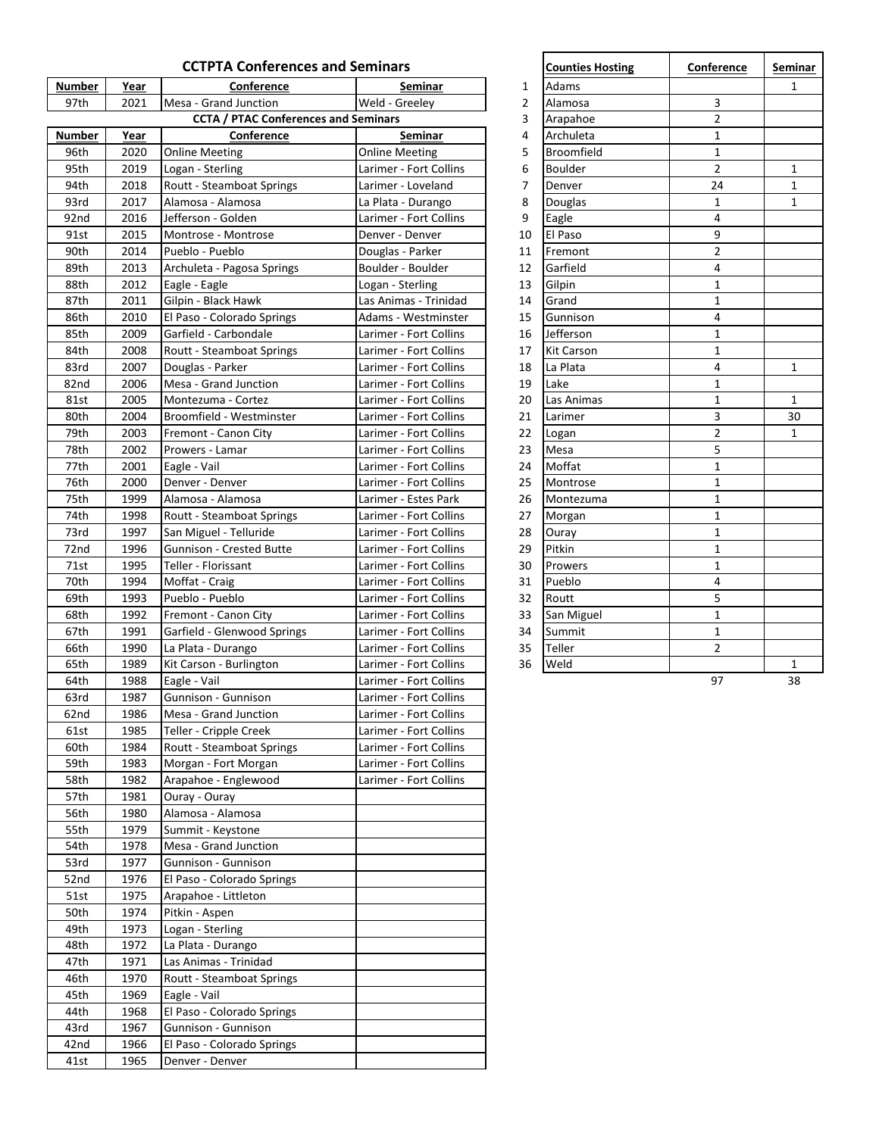| <b>CCTPTA Conferences and Seminars</b> |      |                                             |                        |                | <b>Counties Hosting</b> | Conference     | Semi         |
|----------------------------------------|------|---------------------------------------------|------------------------|----------------|-------------------------|----------------|--------------|
| <b>Number</b>                          | Year | Conference                                  | <b>Seminar</b>         | 1              | Adams                   |                | 1            |
| 97th                                   | 2021 | Mesa - Grand Junction                       | Weld - Greelev         | $\overline{2}$ | Alamosa                 | 3              |              |
|                                        |      | <b>CCTA / PTAC Conferences and Seminars</b> |                        | 3              | Arapahoe                | $\overline{2}$ |              |
| <b>Number</b>                          | Year | Conference                                  | Seminar                | 4              | Archuleta               | $\mathbf{1}$   |              |
| 96th                                   | 2020 | <b>Online Meeting</b>                       | <b>Online Meeting</b>  | 5              | <b>Broomfield</b>       | $\mathbf{1}$   |              |
| 95th                                   | 2019 | Logan - Sterling                            | Larimer - Fort Collins | 6              | <b>Boulder</b>          | $\overline{2}$ | 1            |
| 94th                                   | 2018 | Routt - Steamboat Springs                   | Larimer - Loveland     | 7              | Denver                  | 24             | $\mathbf{1}$ |
| 93rd                                   | 2017 | Alamosa - Alamosa                           | La Plata - Durango     | 8              | Douglas                 | $\mathbf{1}$   | 1            |
| 92nd                                   | 2016 | Jefferson - Golden                          | Larimer - Fort Collins | 9              | Eagle                   | 4              |              |
| 91st                                   | 2015 | Montrose - Montrose                         | Denver - Denver        | 10             | El Paso                 | 9              |              |
| 90th                                   | 2014 | Pueblo - Pueblo                             | Douglas - Parker       | 11             | Fremont                 | $\overline{2}$ |              |
| 89th                                   | 2013 |                                             | Boulder - Boulder      | 12             | Garfield                | 4              |              |
|                                        |      | Archuleta - Pagosa Springs                  | Logan - Sterling       |                |                         | $\mathbf{1}$   |              |
| 88th<br>87th                           | 2012 | Eagle - Eagle                               |                        | 13             | Gilpin                  | $\mathbf{1}$   |              |
|                                        | 2011 | Gilpin - Black Hawk                         | Las Animas - Trinidad  | 14             | Grand                   | 4              |              |
| 86th                                   | 2010 | El Paso - Colorado Springs                  | Adams - Westminster    | 15             | Gunnison                |                |              |
| 85th                                   | 2009 | Garfield - Carbondale                       | Larimer - Fort Collins | 16             | Jefferson               | $\mathbf{1}$   |              |
| 84th                                   | 2008 | Routt - Steamboat Springs                   | Larimer - Fort Collins | 17             | <b>Kit Carson</b>       | $\mathbf 1$    |              |
| 83rd                                   | 2007 | Douglas - Parker                            | Larimer - Fort Collins | 18             | La Plata                | 4              | $\mathbf{1}$ |
| 82nd                                   | 2006 | Mesa - Grand Junction                       | Larimer - Fort Collins | 19             | Lake                    | $\mathbf{1}$   |              |
| 81st                                   | 2005 | Montezuma - Cortez                          | Larimer - Fort Collins | 20             | Las Animas              | $\mathbf{1}$   | $\mathbf{1}$ |
| 80th                                   | 2004 | Broomfield - Westminster                    | Larimer - Fort Collins | 21             | Larimer                 | 3              | 30           |
| 79th                                   | 2003 | Fremont - Canon City                        | Larimer - Fort Collins | 22             | Logan                   | $\overline{2}$ | 1            |
| 78th                                   | 2002 | Prowers - Lamar                             | Larimer - Fort Collins | 23             | Mesa                    | 5              |              |
| 77th                                   | 2001 | Eagle - Vail                                | Larimer - Fort Collins | 24             | Moffat                  | $\mathbf{1}$   |              |
| 76th                                   | 2000 | Denver - Denver                             | Larimer - Fort Collins | 25             | Montrose                | $\mathbf 1$    |              |
| 75th                                   | 1999 | Alamosa - Alamosa                           | Larimer - Estes Park   | 26             | Montezuma               | $\mathbf 1$    |              |
| 74th                                   | 1998 | <b>Routt - Steamboat Springs</b>            | Larimer - Fort Collins | 27             | Morgan                  | $\mathbf{1}$   |              |
| 73rd                                   | 1997 | San Miguel - Telluride                      | Larimer - Fort Collins | 28             | Ouray                   | $\mathbf{1}$   |              |
| 72nd                                   | 1996 | Gunnison - Crested Butte                    | Larimer - Fort Collins | 29             | Pitkin                  | $\mathbf{1}$   |              |
| 71st                                   | 1995 | Teller - Florissant                         | Larimer - Fort Collins | 30             | Prowers                 | $\mathbf{1}$   |              |
| 70th                                   | 1994 | Moffat - Craig                              | Larimer - Fort Collins | 31             | Pueblo                  | 4              |              |
| 69th                                   | 1993 | Pueblo - Pueblo                             | Larimer - Fort Collins | 32             | Routt                   | 5              |              |
| 68th                                   | 1992 | Fremont - Canon City                        | Larimer - Fort Collins | 33             | San Miguel              | $\mathbf{1}$   |              |
| 67th                                   | 1991 | Garfield - Glenwood Springs                 | Larimer - Fort Collins | 34             | Summit                  | $\mathbf{1}$   |              |
| 66th                                   | 1990 | La Plata - Durango                          | Larimer - Fort Collins | 35             | Teller                  | $\overline{2}$ |              |
| 65th                                   | 1989 | Kit Carson - Burlington                     | Larimer - Fort Collins | 36             | Weld                    |                | 1            |
| 64th                                   | 1988 | Eagle - Vail                                | Larimer - Fort Collins |                |                         | 97             | 38           |
| 63rd                                   | 1987 | Gunnison - Gunnison                         | Larimer - Fort Collins |                |                         |                |              |
| 62nd                                   | 1986 | Mesa - Grand Junction                       | Larimer - Fort Collins |                |                         |                |              |
| 61st                                   | 1985 | Teller - Cripple Creek                      | Larimer - Fort Collins |                |                         |                |              |
| 60th                                   | 1984 |                                             | Larimer - Fort Collins |                |                         |                |              |
|                                        |      | Routt - Steamboat Springs                   |                        |                |                         |                |              |
| 59th                                   | 1983 | Morgan - Fort Morgan                        | Larimer - Fort Collins |                |                         |                |              |
| 58th                                   | 1982 | Arapahoe - Englewood                        | Larimer - Fort Collins |                |                         |                |              |
| 57th                                   | 1981 | Ouray - Ouray                               |                        |                |                         |                |              |
| 56th                                   | 1980 | Alamosa - Alamosa                           |                        |                |                         |                |              |
| 55th                                   | 1979 | Summit - Keystone                           |                        |                |                         |                |              |
| 54th                                   | 1978 | Mesa - Grand Junction                       |                        |                |                         |                |              |
| 53rd                                   | 1977 | Gunnison - Gunnison                         |                        |                |                         |                |              |
| 52nd                                   | 1976 | El Paso - Colorado Springs                  |                        |                |                         |                |              |
| 51st                                   | 1975 | Arapahoe - Littleton                        |                        |                |                         |                |              |
| 50th                                   | 1974 | Pitkin - Aspen                              |                        |                |                         |                |              |
| 49th                                   | 1973 | Logan - Sterling                            |                        |                |                         |                |              |
| 48th                                   | 1972 | La Plata - Durango                          |                        |                |                         |                |              |
| 47th                                   | 1971 | Las Animas - Trinidad                       |                        |                |                         |                |              |
| 46th                                   | 1970 | Routt - Steamboat Springs                   |                        |                |                         |                |              |
| 45th                                   | 1969 | Eagle - Vail                                |                        |                |                         |                |              |
| 44th                                   | 1968 | El Paso - Colorado Springs                  |                        |                |                         |                |              |
| 43rd                                   | 1967 | Gunnison - Gunnison                         |                        |                |                         |                |              |
| 42nd                                   | 1966 | El Paso - Colorado Springs                  |                        |                |                         |                |              |
| 41st                                   | 1965 | Denver - Denver                             |                        |                |                         |                |              |
|                                        |      |                                             |                        |                |                         |                |              |

| <b>Counties Hosting</b> | Conference     | Seminar      |
|-------------------------|----------------|--------------|
| Adams                   |                | 1            |
| Alamosa                 | 3              |              |
| Arapahoe                | $\overline{2}$ |              |
| Archuleta               | $\mathbf{1}$   |              |
| Broomfield              | 1              |              |
| <b>Boulder</b>          | $\overline{2}$ | $\mathbf{1}$ |
| Denver                  | 24             | $\mathbf{1}$ |
| Douglas                 | 1              | $\mathbf{1}$ |
| Eagle                   | 4              |              |
| El Paso                 | 9              |              |
| Fremont                 | $\overline{2}$ |              |
| Garfield                | 4              |              |
| Gilpin                  | 1              |              |
| Grand                   | 1              |              |
| Gunnison                | 4              |              |
| Jefferson               | 1              |              |
| Kit Carson              | 1              |              |
| La Plata                | 4              | 1            |
| Lake                    | 1              |              |
| Las Animas              | 1              | $\mathbf{1}$ |
| Larimer                 | 3              | 30           |
| Logan                   | 2              | $\mathbf{1}$ |
| Mesa                    | 5              |              |
| Moffat                  | 1              |              |
| Montrose                | 1              |              |
| Montezuma               | 1              |              |
| Morgan                  | $\overline{1}$ |              |
| Ouray                   | 1              |              |
| Pitkin                  | $\mathbf{1}$   |              |
| Prowers                 | $\overline{1}$ |              |
| Pueblo                  | 4              |              |
| Routt                   | 5              |              |
| San Miguel              | 1              |              |
| Summit                  | 1              |              |
| Teller                  | 2              |              |
| Weld                    |                | 1            |
|                         | 97             | 38           |